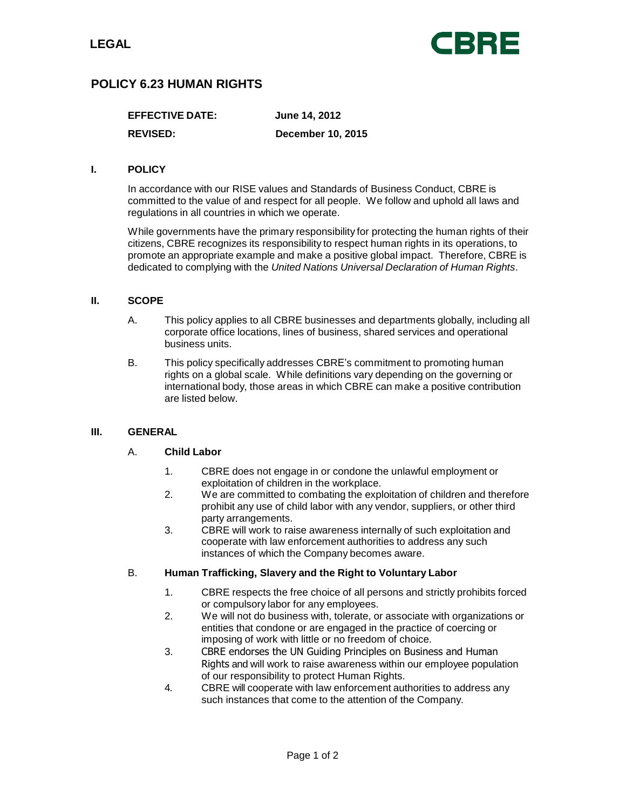

# **POLICY 6.23 HUMAN RIGHTS**

| <b>EFFECTIVE DATE:</b> | June 14, 2012            |
|------------------------|--------------------------|
| <b>REVISED:</b>        | <b>December 10, 2015</b> |

### **I. POLICY**

In accordance with our RISE values and Standards of Business Conduct, CBRE is committed to the value of and respect for all people. We follow and uphold all laws and regulations in all countries in which we operate.

While governments have the primary responsibility for protecting the human rights of their citizens, CBRE recognizes its responsibility to respect human rights in its operations, to promote an appropriate example and make a positive global impact. Therefore, CBRE is dedicated to complying with the *United Nations Universal Declaration of Human Rights*.

### **II. SCOPE**

- A. This policy applies to all CBRE businesses and departments globally, including all corporate office locations, lines of business, shared services and operational business units.
- B. This policy specifically addresses CBRE's commitment to promoting human rights on a global scale. While definitions vary depending on the governing or international body, those areas in which CBRE can make a positive contribution are listed below.

### **III. GENERAL**

### A. **Child Labor**

- 1. CBRE does not engage in or condone the unlawful employment or exploitation of children in the workplace.
- 2. We are committed to combating the exploitation of children and therefore prohibit any use of child labor with any vendor, suppliers, or other third party arrangements.
- 3. CBRE will work to raise awareness internally of such exploitation and cooperate with law enforcement authorities to address any such instances of which the Company becomes aware.

### B. **Human Trafficking, Slavery and the Right to Voluntary Labor**

- 1. CBRE respects the free choice of all persons and strictly prohibits forced or compulsory labor for any employees.
- 2. We will not do business with, tolerate, or associate with organizations or entities that condone or are engaged in the practice of coercing or imposing of work with little or no freedom of choice.
- 3. CBRE endorses the UN Guiding Principles on Business and Human Rights and will work to raise awareness within our employee population of our responsibility to protect Human Rights.
- 4. CBRE will cooperate with law enforcement authorities to address any such instances that come to the attention of the Company.